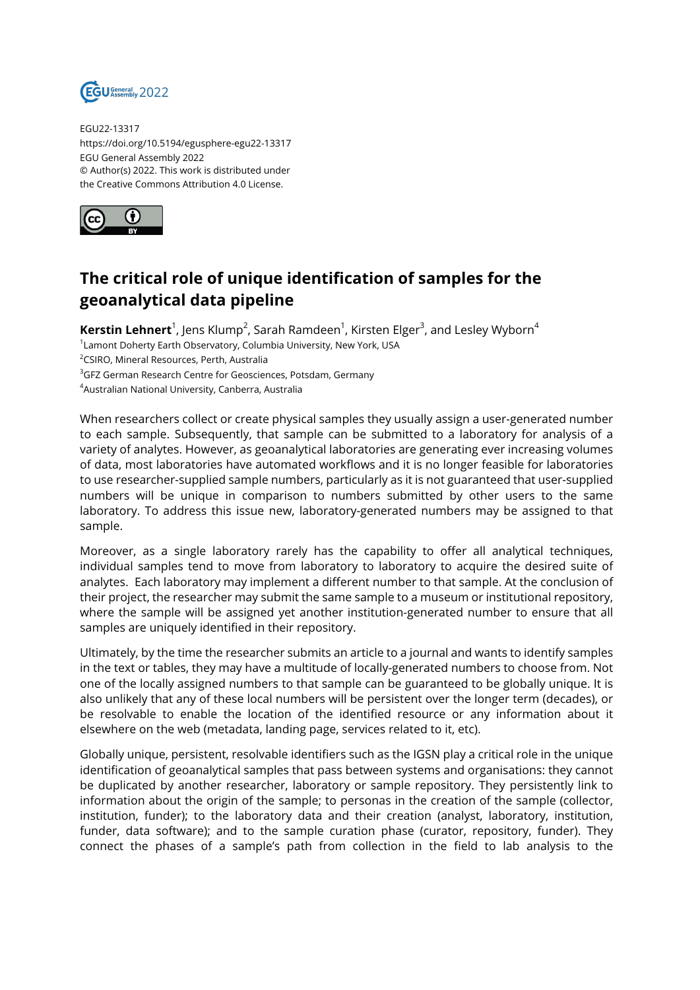

EGU22-13317 https://doi.org/10.5194/egusphere-egu22-13317 EGU General Assembly 2022 © Author(s) 2022. This work is distributed under the Creative Commons Attribution 4.0 License.



## **The critical role of unique identification of samples for the geoanalytical data pipeline**

**Kerstin Lehnert**<sup>1</sup>, Jens Klump<sup>2</sup>, Sarah Ramdeen<sup>1</sup>, Kirsten Elger<sup>3</sup>, and Lesley Wyborn<sup>4</sup>  $^{\text{1}}$ Lamont Doherty Earth Observatory, Columbia University, New York, USA <sup>2</sup>CSIRO, Mineral Resources, Perth, Australia

<sup>3</sup>GFZ German Research Centre for Geosciences, Potsdam, Germany

<sup>4</sup>Australian National University, Canberra, Australia

When researchers collect or create physical samples they usually assign a user-generated number to each sample. Subsequently, that sample can be submitted to a laboratory for analysis of a variety of analytes. However, as geoanalytical laboratories are generating ever increasing volumes of data, most laboratories have automated workflows and it is no longer feasible for laboratories to use researcher-supplied sample numbers, particularly as it is not guaranteed that user-supplied numbers will be unique in comparison to numbers submitted by other users to the same laboratory. To address this issue new, laboratory-generated numbers may be assigned to that sample.

Moreover, as a single laboratory rarely has the capability to offer all analytical techniques, individual samples tend to move from laboratory to laboratory to acquire the desired suite of analytes. Each laboratory may implement a different number to that sample. At the conclusion of their project, the researcher may submit the same sample to a museum or institutional repository, where the sample will be assigned yet another institution-generated number to ensure that all samples are uniquely identified in their repository.

Ultimately, by the time the researcher submits an article to a journal and wants to identify samples in the text or tables, they may have a multitude of locally-generated numbers to choose from. Not one of the locally assigned numbers to that sample can be guaranteed to be globally unique. It is also unlikely that any of these local numbers will be persistent over the longer term (decades), or be resolvable to enable the location of the identified resource or any information about it elsewhere on the web (metadata, landing page, services related to it, etc).

Globally unique, persistent, resolvable identifiers such as the IGSN play a critical role in the unique identification of geoanalytical samples that pass between systems and organisations: they cannot be duplicated by another researcher, laboratory or sample repository. They persistently link to information about the origin of the sample; to personas in the creation of the sample (collector, institution, funder); to the laboratory data and their creation (analyst, laboratory, institution, funder, data software); and to the sample curation phase (curator, repository, funder). They connect the phases of a sample's path from collection in the field to lab analysis to the